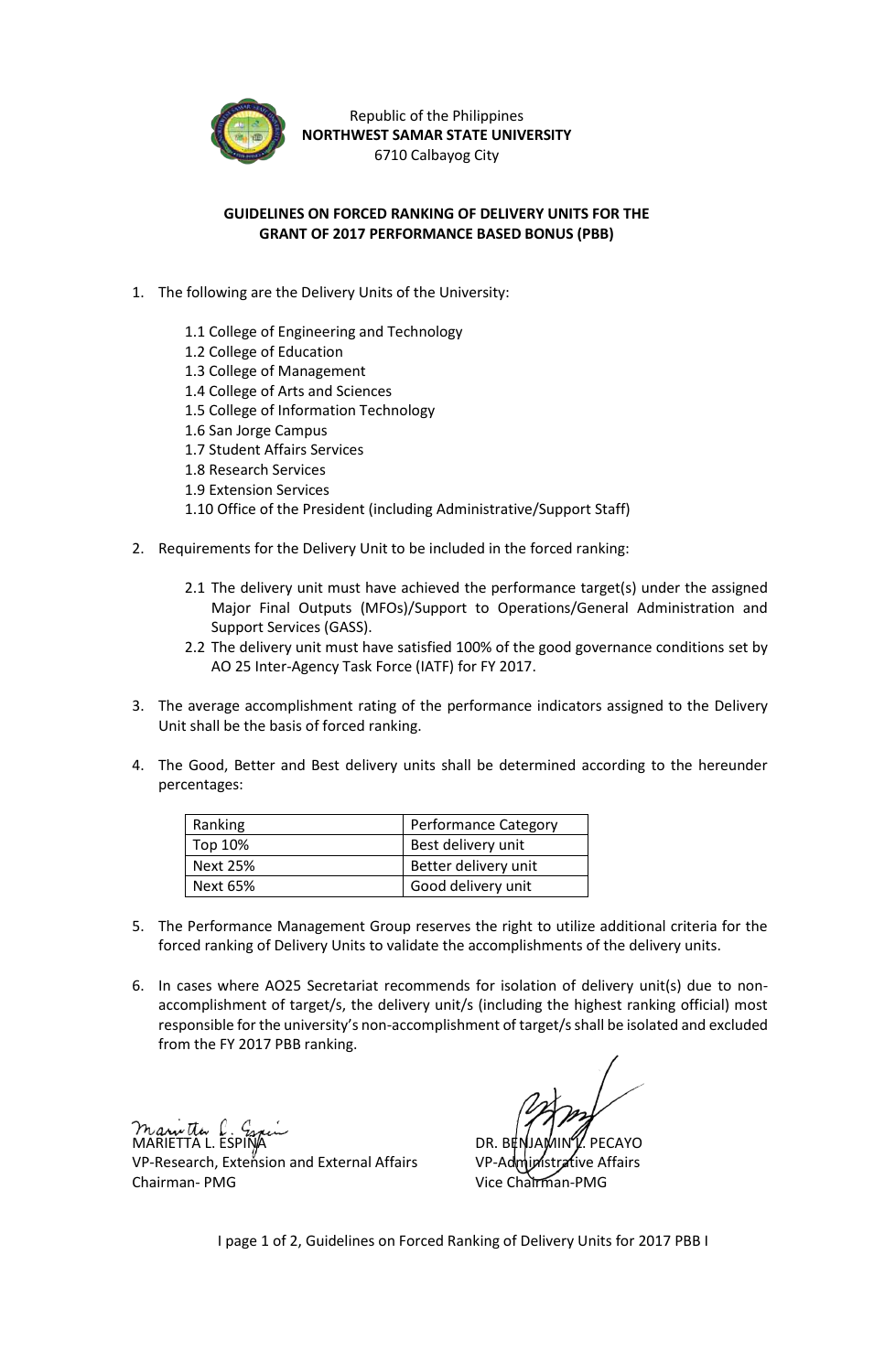

Republic of the Philippines **NORTHWEST SAMAR STATE UNIVERSITY** 6710 Calbayog City

## **GUIDELINES ON FORCED RANKING OF DELIVERY UNITS FOR THE GRANT OF 2017 PERFORMANCE BASED BONUS (PBB)**

- 1. The following are the Delivery Units of the University:
	- 1.1 College of Engineering and Technology
	- 1.2 College of Education
	- 1.3 College of Management
	- 1.4 College of Arts and Sciences
	- 1.5 College of Information Technology
	- 1.6 San Jorge Campus
	- 1.7 Student Affairs Services
	- 1.8 Research Services
	- 1.9 Extension Services
	- 1.10 Office of the President (including Administrative/Support Staff)
- 2. Requirements for the Delivery Unit to be included in the forced ranking:
	- 2.1 The delivery unit must have achieved the performance target(s) under the assigned Major Final Outputs (MFOs)/Support to Operations/General Administration and Support Services (GASS).
	- 2.2 The delivery unit must have satisfied 100% of the good governance conditions set by AO 25 Inter-Agency Task Force (IATF) for FY 2017.
- 3. The average accomplishment rating of the performance indicators assigned to the Delivery Unit shall be the basis of forced ranking.
- 4. The Good, Better and Best delivery units shall be determined according to the hereunder percentages:

| Ranking  | <b>Performance Category</b> |
|----------|-----------------------------|
| Top 10%  | Best delivery unit          |
| Next 25% | Better delivery unit        |
| Next 65% | Good delivery unit          |

- 5. The Performance Management Group reserves the right to utilize additional criteria for the forced ranking of Delivery Units to validate the accomplishments of the delivery units.
- 6. In cases where AO25 Secretariat recommends for isolation of delivery unit(s) due to nonaccomplishment of target/s, the delivery unit/s (including the highest ranking official) most responsible for the university's non-accomplishment of target/s shall be isolated and excluded from the FY 2017 PBB ranking.

MARIETTA L. ESPIÑA DR. BENJAMIN LA PECAYO DR. BENJAMIN LA PECAYO DR. BENJAMIN LA PECAYO DR. BENJAMIN LA PECAYO VP-Research, Extension and External Affairs VP-Administrative Affairs Chairman- PMG Vice Chairman-PMG

I page 1 of 2, Guidelines on Forced Ranking of Delivery Units for 2017 PBB I